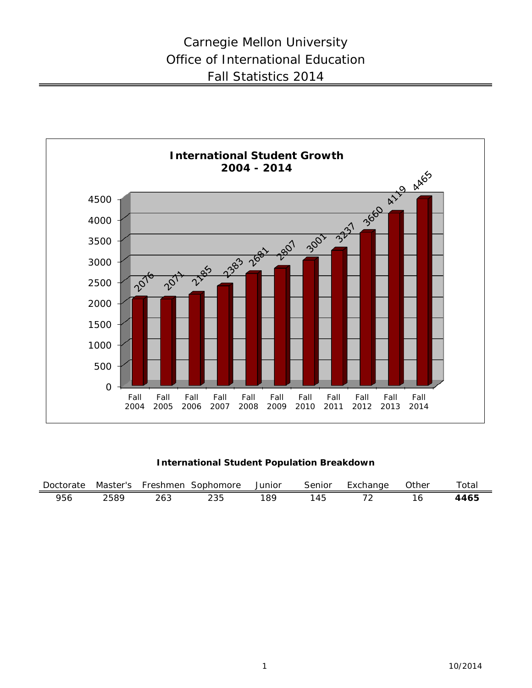

## **International Student Population Breakdown**

| Doctorate | Master's | Freshmen | Sophomore | Junior | Senior | Exchange | Other | $\tau$ otal |
|-----------|----------|----------|-----------|--------|--------|----------|-------|-------------|
| 956       | 2589     | 263      |           | .QC    | -45    |          |       | 4465        |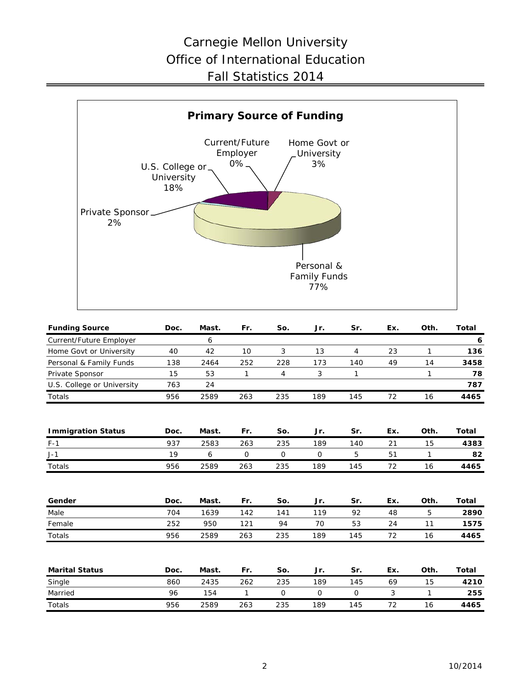# Carnegie Mellon University Office of International Education Fall Statistics 2014



| <b>Funding Source</b>      | Doc. | Mast. | Fr. | So. | Jr. | Sr.            | Ex. | Oth.         | <b>Total</b> |
|----------------------------|------|-------|-----|-----|-----|----------------|-----|--------------|--------------|
| Current/Future Employer    |      | 6     |     |     |     |                |     |              | 6            |
| Home Govt or University    | 40   | 42    | 10  | 3   | 13  | $\overline{4}$ | 23  | $\mathbf{1}$ | 136          |
| Personal & Family Funds    | 138  | 2464  | 252 | 228 | 173 | 140            | 49  | 14           | 3458         |
| Private Sponsor            | 15   | 53    | 1   | 4   | 3   | $\mathbf{1}$   |     | $\mathbf{1}$ | 78           |
| U.S. College or University | 763  | 24    |     |     |     |                |     |              | 787          |
| Totals                     | 956  | 2589  | 263 | 235 | 189 | 145            | 72  | 16           | 4465         |
|                            |      |       |     |     |     |                |     |              |              |
| <b>Immigration Status</b>  | Doc. | Mast. | Fr. | So. | Jr. | Sr.            | Ex. | Oth.         | <b>Total</b> |
| $F-1$                      | 937  | 2583  | 263 | 235 | 189 | 140            | 21  | 15           | 4383         |
| $J-1$                      | 19   | 6     | 0   | 0   | 0   | 5              | 51  | 1            | 82           |
| Totals                     | 956  | 2589  | 263 | 235 | 189 | 145            | 72  | 16           | 4465         |
|                            |      |       |     |     |     |                |     |              |              |
| Gender                     | Doc. | Mast. | Fr. | So. | Jr. | Sr.            | Ex. | Oth.         | <b>Total</b> |
| Male                       | 704  | 1639  | 142 | 141 | 119 | 92             | 48  | 5            | 2890         |
| Female                     | 252  | 950   | 121 | 94  | 70  | 53             | 24  | 11           | 1575         |
| Totals                     | 956  | 2589  | 263 | 235 | 189 | 145            | 72  | 16           | 4465         |
|                            |      |       |     |     |     |                |     |              |              |
| <b>Marital Status</b>      | Doc. | Mast. | Fr. | So. | Jr. | Sr.            | Ex. | Oth.         | <b>Total</b> |
| Single                     | 860  | 2435  | 262 | 235 | 189 | 145            | 69  | 15           | 4210         |
| Married                    | 96   | 154   | 1   | 0   | 0   | 0              | 3   | 1            | 255          |
| Totals                     | 956  | 2589  | 263 | 235 | 189 | 145            | 72  | 16           | 4465         |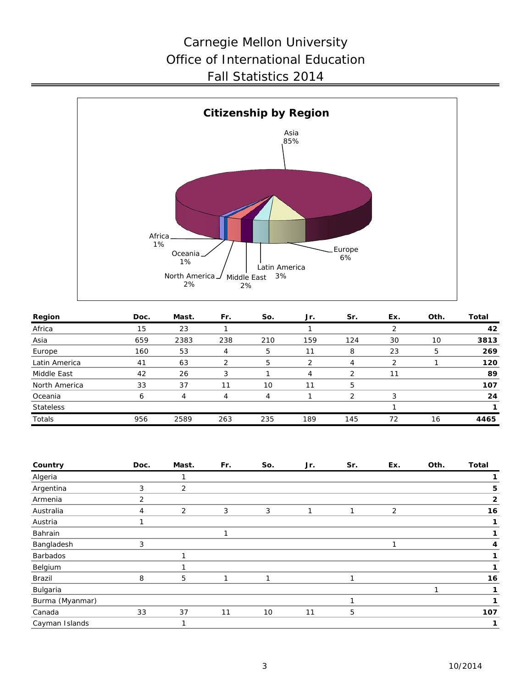# Carnegie Mellon University Office of International Education Fall Statistics 2014



| Region           | Doc. | Mast. | Fr. | So. | Jr. | Sr.           | Ex.           | Oth. | Total |
|------------------|------|-------|-----|-----|-----|---------------|---------------|------|-------|
| Africa           | 15   | 23    |     |     |     |               |               |      | 42    |
| Asia             | 659  | 2383  | 238 | 210 | 159 | 124           | 30            | 10   | 3813  |
| Europe           | 160  | 53    |     | 5   | 11  | 8             | 23            | 5    | 269   |
| Latin America    | 41   | 63    |     | 5   |     |               | $\mathcal{P}$ |      | 120   |
| Middle East      | 42   | 26    | 3   |     | 4   | $\mathcal{P}$ | 11            |      | 89    |
| North America    | 33   | 37    |     | 10  | 11  | 5             |               |      | 107   |
| Oceania          | 6    | 4     |     | 4   |     | っ             | 3             |      | 24    |
| <b>Stateless</b> |      |       |     |     |     |               |               |      |       |
| Totals           | 956  | 2589  | 263 | 235 | 189 | 145           | 72            | 16   | 4465  |

| Country         | Doc.           | Mast. | Fr. | So. | Jr. | Sr. | Ex. | Oth. | <b>Total</b> |
|-----------------|----------------|-------|-----|-----|-----|-----|-----|------|--------------|
| Algeria         |                |       |     |     |     |     |     |      |              |
| Argentina       | 3              | 2     |     |     |     |     |     |      | 5            |
| Armenia         | 2              |       |     |     |     |     |     |      | $\mathbf{2}$ |
| Australia       | $\overline{4}$ | 2     | 3   | 3   |     |     | 2   |      | 16           |
| Austria         |                |       |     |     |     |     |     |      |              |
| Bahrain         |                |       | 1   |     |     |     |     |      |              |
| Bangladesh      | 3              |       |     |     |     |     | и   |      | 4            |
| Barbados        |                |       |     |     |     |     |     |      |              |
| Belgium         |                |       |     |     |     |     |     |      |              |
| Brazil          | 8              | 5     |     | п   |     |     |     |      | 16           |
| Bulgaria        |                |       |     |     |     |     |     |      |              |
| Burma (Myanmar) |                |       |     |     |     |     |     |      |              |
| Canada          | 33             | 37    | 11  | 10  | 11  | 5   |     |      | 107          |
| Cayman Islands  |                |       |     |     |     |     |     |      |              |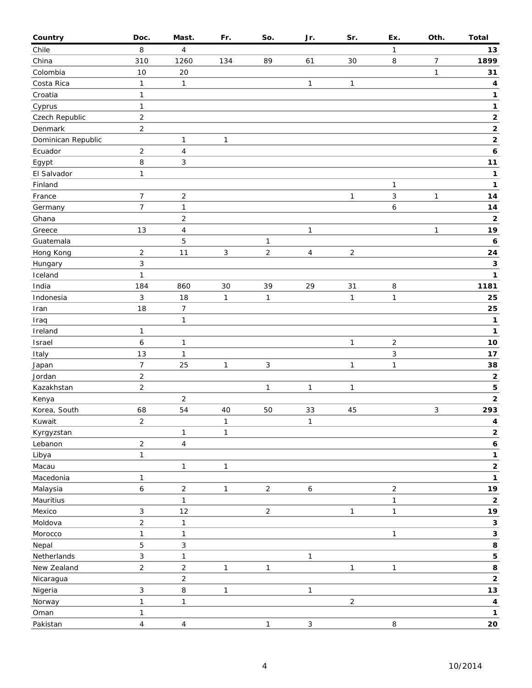| Country            | Doc.                           | Mast.                            | Fr.          | So.            | Jr.              | Sr.            | Ex.            | Oth.         | <b>Total</b>                    |
|--------------------|--------------------------------|----------------------------------|--------------|----------------|------------------|----------------|----------------|--------------|---------------------------------|
| Chile              | 8                              | 4                                |              |                |                  |                | 1              |              | 13                              |
| China              | 310                            | 1260                             | 134          | 89             | 61               | 30             | 8              | 7            | 1899                            |
| Colombia           | 10                             | 20                               |              |                |                  |                |                | $\mathbf{1}$ | 31                              |
| Costa Rica         | $\mathbf{1}$                   | 1                                |              |                | $\mathbf{1}$     | 1              |                |              | 4                               |
| Croatia            | $\mathbf{1}$                   |                                  |              |                |                  |                |                |              | 1                               |
| Cyprus             | $\mathbf{1}$                   |                                  |              |                |                  |                |                |              | $\mathbf{1}$                    |
| Czech Republic     | $\sqrt{2}$                     |                                  |              |                |                  |                |                |              | $\mathbf{2}$                    |
| Denmark            | $\overline{2}$                 |                                  |              |                |                  |                |                |              | $\mathbf 2$                     |
| Dominican Republic |                                | $\mathbf{1}$                     | 1            |                |                  |                |                |              | $\mathbf{2}$                    |
| Ecuador            | $\overline{2}$                 | 4                                |              |                |                  |                |                |              | 6                               |
| Egypt              | 8                              | 3                                |              |                |                  |                |                |              | $11$                            |
| El Salvador        | $\mathbf{1}$                   |                                  |              |                |                  |                |                |              | $\mathbf{1}$                    |
| Finland            |                                |                                  |              |                |                  |                | 1              |              | 1                               |
| France             | $\overline{7}$                 | $\overline{c}$                   |              |                |                  | $\mathbf{1}$   | 3              | $\mathbf{1}$ | ${\bf 14}$                      |
| Germany            | $\overline{7}$                 | 1                                |              |                |                  |                | 6              |              | 14                              |
| Ghana              |                                | $\overline{c}$                   |              |                |                  |                |                |              | $\mathbf 2$                     |
| Greece             | 13                             | 4                                |              |                | $\mathbf{1}$     |                |                | $\mathbf{1}$ | 19                              |
| Guatemala          |                                | 5                                |              | 1              |                  |                |                |              | 6                               |
| Hong Kong          | $\overline{2}$                 | 11                               | 3            | $\overline{2}$ | $\overline{4}$   | $\overline{2}$ |                |              | ${\bf 24}$                      |
| Hungary            | $\sqrt{3}$                     |                                  |              |                |                  |                |                |              | $\mathbf 3$                     |
| Iceland            | $\mathbf{1}$                   |                                  |              |                |                  |                |                |              | $\mathbf{1}$                    |
| India              | 184                            | 860                              | 30           | 39             | 29               | 31             | 8              |              | 1181                            |
| Indonesia          | 3                              | 18                               | 1            | 1              |                  | $\mathbf{1}$   | $\mathbf{1}$   |              | 25                              |
| Iran               | 18                             | $\overline{7}$                   |              |                |                  |                |                |              | 25                              |
| Iraq               |                                | $\mathbf{1}$                     |              |                |                  |                |                |              | 1                               |
| Ireland            | $\mathbf{1}$                   |                                  |              |                |                  |                |                |              | 1                               |
| Israel             | $\boldsymbol{6}$               | 1                                |              |                |                  | $\mathbf{1}$   | $\overline{2}$ |              | $10$                            |
| Italy              | 13                             | $\mathbf{1}$                     |              |                |                  |                | 3              |              | $17$                            |
| Japan              | $\overline{7}$                 | 25                               | 1            | 3              |                  | 1              | 1              |              | 38                              |
| Jordan             | $\sqrt{2}$                     |                                  |              |                |                  |                |                |              | $\mathbf 2$                     |
| Kazakhstan         | $\mathbf 2$                    |                                  |              | 1              | $\mathbf{1}$     | 1              |                |              | 5                               |
| Kenya              |                                | $\overline{c}$                   |              |                |                  |                |                |              | $\mathbf{2}$                    |
| Korea, South       | 68                             | 54                               | 40           | 50             | 33               | 45             |                | 3            | 293                             |
| Kuwait             | $\overline{c}$                 |                                  | $\mathbf{1}$ |                | $\mathbf{1}$     |                |                |              | $\overline{\mathbf{4}}$         |
| Kyrgyzstan         |                                | $\mathbf{1}$                     | 1            |                |                  |                |                |              | $\mathbf 2$                     |
| Lebanon            | $\overline{2}$                 | $\overline{\mathbf{4}}$          |              |                |                  |                |                |              | $\pmb{6}$                       |
| Libya              | $\mathbf{1}$                   |                                  |              |                |                  |                |                |              | $\mathbf 1$                     |
| Macau              |                                | $\mathbf{1}$                     | 1            |                |                  |                |                |              | $\mathbf 2$                     |
| Macedonia          | $\mathbf{1}$                   |                                  |              |                |                  |                |                |              | 1                               |
| Malaysia           | $\boldsymbol{6}$               | $\overline{c}$                   | $\mathbf{1}$ | $\overline{2}$ | $\boldsymbol{6}$ |                | $\overline{2}$ |              | 19                              |
| Mauritius          |                                | $\mathbf{1}$                     |              |                |                  |                | 1              |              | $\mathbf 2$                     |
| Mexico             | 3                              | 12                               |              | $\overline{2}$ |                  | $\mathbf{1}$   | $\mathbf{1}$   |              | 19                              |
| Moldova            | $\overline{2}$                 | $\mathbf{1}$                     |              |                |                  |                |                |              | $\mathbf{3}$                    |
| Morocco            | $\mathbf{1}$                   |                                  |              |                |                  |                | 1              |              | 3                               |
| Nepal              | $\mathbf 5$                    | $\mathbf{1}$<br>3                |              |                |                  |                |                |              | 8                               |
|                    |                                |                                  |              |                |                  |                |                |              |                                 |
| Netherlands        | $\sqrt{3}$                     | $\mathbf{1}$                     |              |                | $\mathbf{1}$     |                |                |              | 5                               |
| New Zealand        | $\mathbf 2$                    | $\overline{c}$<br>$\overline{c}$ | 1            | 1              |                  | 1              | 1              |              | 8<br>$\mathbf{2}$               |
| Nicaragua          | $\sqrt{3}$                     |                                  |              |                |                  |                |                |              |                                 |
| Nigeria            | $\mathbf{1}$                   | $\, 8$<br>$\mathbf{1}$           | $\mathbf{1}$ |                | $\mathbf{1}$     | $\overline{2}$ |                |              | $13$<br>$\overline{\mathbf{4}}$ |
| Norway             |                                |                                  |              |                |                  |                |                |              | $\mathbf{1}$                    |
| Oman<br>Pakistan   | $\mathbf{1}$<br>$\overline{4}$ | $\overline{\mathbf{4}}$          |              | $\mathbf{1}$   | $\mathbf{3}$     |                | 8              |              | ${\bf 20}$                      |
|                    |                                |                                  |              |                |                  |                |                |              |                                 |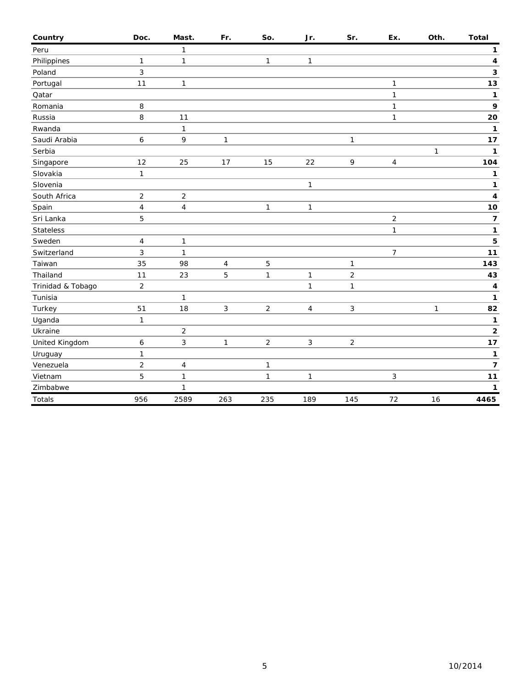| Country           | Doc.           | Mast.                   | Fr.          | So.            | Jr.            | Sr.            | Ex.            | Oth.         | <b>Total</b>            |
|-------------------|----------------|-------------------------|--------------|----------------|----------------|----------------|----------------|--------------|-------------------------|
| Peru              |                | 1                       |              |                |                |                |                |              | $\mathbf{1}$            |
| Philippines       | 1              | 1                       |              | 1              | $\mathbf{1}$   |                |                |              | 4                       |
| Poland            | $\mathfrak{Z}$ |                         |              |                |                |                |                |              | 3                       |
| Portugal          | 11             | $\mathbf{1}$            |              |                |                |                | 1              |              | 13                      |
| Qatar             |                |                         |              |                |                |                | 1              |              | 1                       |
| Romania           | 8              |                         |              |                |                |                | $\mathbf{1}$   |              | 9                       |
| Russia            | 8              | 11                      |              |                |                |                | 1              |              | 20                      |
| Rwanda            |                | $\mathbf{1}$            |              |                |                |                |                |              | 1                       |
| Saudi Arabia      | 6              | 9                       | 1            |                |                | $\mathbf{1}$   |                |              | 17                      |
| Serbia            |                |                         |              |                |                |                |                | $\mathbf{1}$ | $\mathbf{1}$            |
| Singapore         | 12             | 25                      | 17           | 15             | 22             | 9              | 4              |              | 104                     |
| Slovakia          | 1              |                         |              |                |                |                |                |              | 1                       |
| Slovenia          |                |                         |              |                | $\mathbf{1}$   |                |                |              | 1                       |
| South Africa      | $\sqrt{2}$     | $\overline{c}$          |              |                |                |                |                |              | 4                       |
| Spain             | $\sqrt{4}$     | $\overline{\mathbf{4}}$ |              | $\mathbf{1}$   | $\mathbf{1}$   |                |                |              | 10                      |
| Sri Lanka         | 5              |                         |              |                |                |                | $\overline{c}$ |              | $\overline{\mathbf{z}}$ |
| <b>Stateless</b>  |                |                         |              |                |                |                | 1              |              | 1                       |
| Sweden            | $\overline{4}$ | $\mathbf{1}$            |              |                |                |                |                |              | 5                       |
| Switzerland       | $\mathbf{3}$   | $\mathbf{1}$            |              |                |                |                | 7              |              | 11                      |
| Taiwan            | 35             | 98                      | 4            | 5              |                | 1              |                |              | 143                     |
| Thailand          | 11             | 23                      | 5            | 1              | $\mathbf{1}$   | $\overline{2}$ |                |              | 43                      |
| Trinidad & Tobago | $\overline{c}$ |                         |              |                | $\mathbf{1}$   | $\mathbf{1}$   |                |              | 4                       |
| Tunisia           |                | $\mathbf{1}$            |              |                |                |                |                |              | 1                       |
| Turkey            | 51             | 18                      | 3            | $\overline{c}$ | $\overline{4}$ | 3              |                | $\mathbf{1}$ | 82                      |
| Uganda            | $\mathbf{1}$   |                         |              |                |                |                |                |              | 1                       |
| Ukraine           |                | $\overline{c}$          |              |                |                |                |                |              | $\mathbf{2}$            |
| United Kingdom    | 6              | 3                       | $\mathbf{1}$ | $\overline{2}$ | $\mathbf{3}$   | $\overline{2}$ |                |              | 17                      |
| Uruguay           | 1              |                         |              |                |                |                |                |              | 1                       |
| Venezuela         | $\overline{2}$ | 4                       |              | 1              |                |                |                |              | $\overline{7}$          |
| Vietnam           | 5              | $\mathbf{1}$            |              | 1              | $\mathbf{1}$   |                | 3              |              | $11$                    |
| Zimbabwe          |                | $\mathbf{1}$            |              |                |                |                |                |              | 1                       |
| Totals            | 956            | 2589                    | 263          | 235            | 189            | 145            | 72             | 16           | 4465                    |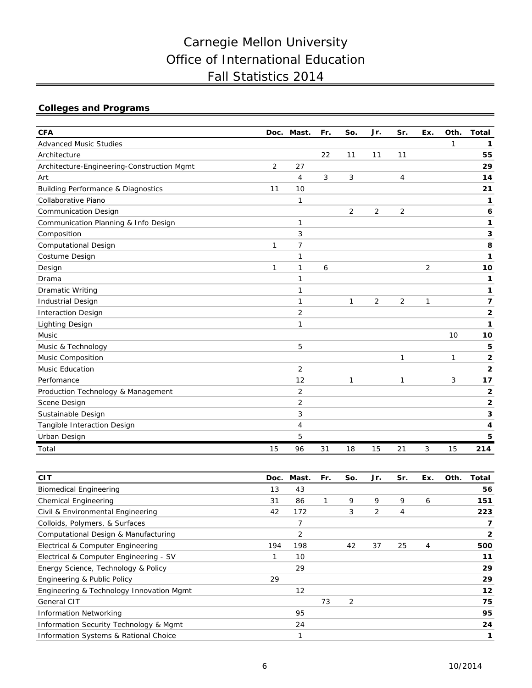# Carnegie Mellon University Office of International Education Fall Statistics 2014

## **Colleges and Programs**

| <b>CFA</b>                                    | Doc. | Mast.          | Fr. | So.          | Jr. | Sr.            | Ex. | Oth. | <b>Total</b>             |
|-----------------------------------------------|------|----------------|-----|--------------|-----|----------------|-----|------|--------------------------|
| <b>Advanced Music Studies</b>                 |      |                |     |              |     |                |     | 1    | 1                        |
| Architecture                                  |      |                | 22  | 11           | 11  | 11             |     |      | 55                       |
| Architecture-Engineering-Construction Mgmt    | 2    | 27             |     |              |     |                |     |      | 29                       |
| Art                                           |      | 4              | 3   | 3            |     | $\overline{4}$ |     |      | 14                       |
| <b>Building Performance &amp; Diagnostics</b> | 11   | 10             |     |              |     |                |     |      | 21                       |
| Collaborative Piano                           |      | 1              |     |              |     |                |     |      | 1                        |
| <b>Communication Design</b>                   |      |                |     | 2            | 2   | 2              |     |      | 6                        |
| Communication Planning & Info Design          |      | 1              |     |              |     |                |     |      | 1                        |
| Composition                                   |      | 3              |     |              |     |                |     |      | 3                        |
| <b>Computational Design</b>                   | 1    | $\overline{7}$ |     |              |     |                |     |      | 8                        |
| Costume Design                                |      | 1              |     |              |     |                |     |      | 1                        |
| Design                                        | 1    | 1              | 6   |              |     |                | 2   |      | 10                       |
| Drama                                         |      | 1              |     |              |     |                |     |      | 1                        |
| <b>Dramatic Writing</b>                       |      | 1              |     |              |     |                |     |      | 1                        |
| <b>Industrial Design</b>                      |      | $\mathbf{1}$   |     | $\mathbf{1}$ | 2   | 2              | 1   |      | $\overline{\phantom{a}}$ |
| <b>Interaction Design</b>                     |      | 2              |     |              |     |                |     |      | 2                        |
| <b>Lighting Design</b>                        |      | 1              |     |              |     |                |     |      | 1                        |
| Music                                         |      |                |     |              |     |                |     | 10   | 10                       |
| Music & Technology                            |      | 5              |     |              |     |                |     |      | 5                        |
| <b>Music Composition</b>                      |      |                |     |              |     | $\mathbf 1$    |     | 1    | 2                        |
| Music Education                               |      | $\overline{2}$ |     |              |     |                |     |      | $\overline{2}$           |
| Perfomance                                    |      | 12             |     | 1            |     | 1              |     | 3    | 17                       |
| Production Technology & Management            |      | $\overline{2}$ |     |              |     |                |     |      | $\overline{2}$           |
| Scene Design                                  |      | 2              |     |              |     |                |     |      | $\overline{2}$           |
| Sustainable Design                            |      | 3              |     |              |     |                |     |      | 3                        |
| Tangible Interaction Design                   |      | 4              |     |              |     |                |     |      | 4                        |
| Urban Design                                  |      | 5              |     |              |     |                |     |      | 5                        |
| Total                                         | 15   | 96             | 31  | 18           | 15  | 21             | 3   | 15   | 214                      |

| <b>CIT</b>                                       | Doc. | Mast. | Fr. | So. | Jr. | Sr. | Ex. | Oth. | Total        |
|--------------------------------------------------|------|-------|-----|-----|-----|-----|-----|------|--------------|
| <b>Biomedical Engineering</b>                    | 13   | 43    |     |     |     |     |     |      | 56           |
| <b>Chemical Engineering</b>                      | 31   | 86    |     | 9   | 9   | 9   | 6   |      | 151          |
| Civil & Environmental Engineering                | 42   | 172   |     | 3   | 2   | 4   |     |      | 223          |
| Colloids, Polymers, & Surfaces                   |      | 7     |     |     |     |     |     |      | 7            |
| Computational Design & Manufacturing             |      | 2     |     |     |     |     |     |      | $\mathbf{2}$ |
| Electrical & Computer Engineering                | 194  | 198   |     | 42  | 37  | 25  | 4   |      | 500          |
| Electrical & Computer Engineering - SV           |      | 10    |     |     |     |     |     |      | 11           |
| Energy Science, Technology & Policy              |      | 29    |     |     |     |     |     |      | 29           |
| Engineering & Public Policy                      | 29   |       |     |     |     |     |     |      | 29           |
| Engineering & Technology Innovation Mgmt         |      | 12    |     |     |     |     |     |      | 12           |
| General CIT                                      |      |       | 73  | 2   |     |     |     |      | 75           |
| <b>Information Networking</b>                    |      | 95    |     |     |     |     |     |      | 95           |
| Information Security Technology & Mgmt           |      | 24    |     |     |     |     |     |      | 24           |
| <b>Information Systems &amp; Rational Choice</b> |      | 1     |     |     |     |     |     |      | 1            |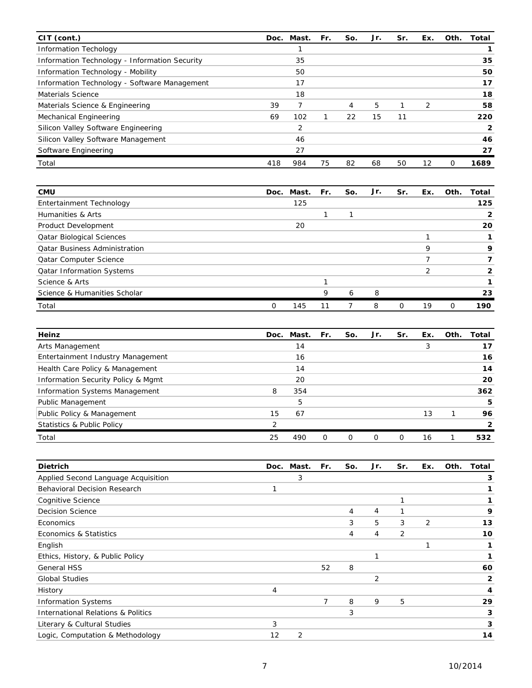| CIT (cont.)                                   |     | Doc. Mast. | Fr. | So. | Jr. | Sr. | Ex.           | Oth. | Total        |
|-----------------------------------------------|-----|------------|-----|-----|-----|-----|---------------|------|--------------|
| <b>Information Techology</b>                  |     |            |     |     |     |     |               |      |              |
| Information Technology - Information Security |     | 35         |     |     |     |     |               |      | 35           |
| Information Technology - Mobility             |     | 50         |     |     |     |     |               |      | 50           |
| Information Technology - Software Management  |     | 17         |     |     |     |     |               |      | 17           |
| <b>Materials Science</b>                      |     | 18         |     |     |     |     |               |      | 18           |
| Materials Science & Engineering               | 39  | 7          |     | 4   | 5   |     | $\mathcal{P}$ |      | 58           |
| Mechanical Engineering                        | 69  | 102        |     | 22  | 15  | 11  |               |      | 220          |
| Silicon Valley Software Engineering           |     | 2          |     |     |     |     |               |      | $\mathbf{2}$ |
| Silicon Valley Software Management            |     | 46         |     |     |     |     |               |      | 46           |
| Software Engineering                          |     | 27         |     |     |     |     |               |      | 27           |
| Total                                         | 418 | 984        | 75  | 82  | 68  | 50  | 12            | 0    | 1689         |

| <b>CMU</b>                           |   | Doc. Mast. | Fr. | So. | Jr. | Sr.      | Ex. | Oth.     | Total |
|--------------------------------------|---|------------|-----|-----|-----|----------|-----|----------|-------|
| Entertainment Technology             |   | 125        |     |     |     |          |     |          | 125   |
| Humanities & Arts                    |   |            |     |     |     |          |     |          | 2     |
| Product Development                  |   | 20         |     |     |     |          |     |          | 20    |
| <b>Qatar Biological Sciences</b>     |   |            |     |     |     |          |     |          |       |
| <b>Qatar Business Administration</b> |   |            |     |     |     |          | Q   |          |       |
| <b>Qatar Computer Science</b>        |   |            |     |     |     |          |     |          |       |
| <b>Qatar Information Systems</b>     |   |            |     |     |     |          |     |          |       |
| Science & Arts                       |   |            |     |     |     |          |     |          |       |
| Science & Humanities Scholar         |   |            | 9   | 6   | 8   |          |     |          | 23    |
| Total                                | 0 | 145        | 11  |     | 8   | $\Omega$ | 19  | $\Omega$ | 190   |

| Heinz                                 | Doc.          | Mast. | Fr. | So. | Jr. | Sr. | Ex. | Oth. | Total |
|---------------------------------------|---------------|-------|-----|-----|-----|-----|-----|------|-------|
| Arts Management                       |               | 14    |     |     |     |     | 3   |      | 17    |
| Entertainment Industry Management     |               | 16    |     |     |     |     |     |      | 16    |
| Health Care Policy & Management       |               | 14    |     |     |     |     |     |      | 14    |
| Information Security Policy & Mgmt    |               | 20    |     |     |     |     |     |      | 20    |
| <b>Information Systems Management</b> | 8             | 354   |     |     |     |     |     |      | 362   |
| Public Management                     |               | 5     |     |     |     |     |     |      | 5     |
| Public Policy & Management            | 15            | 67    |     |     |     |     | 13  |      | 96    |
| Statistics & Public Policy            | $\mathcal{P}$ |       |     |     |     |     |     |      |       |
| Total                                 | 25            | 490   | Ω   |     |     | Ω   | 16  |      | 532   |

| <b>Dietrich</b>                               |    | Doc. Mast. | Fr.            | So. | Jr.            | Sr. | Ex. | Oth. | Total |
|-----------------------------------------------|----|------------|----------------|-----|----------------|-----|-----|------|-------|
| Applied Second Language Acquisition           |    | 3          |                |     |                |     |     |      | 3     |
| <b>Behavioral Decision Research</b>           |    |            |                |     |                |     |     |      |       |
| Cognitive Science                             |    |            |                |     |                |     |     |      |       |
| <b>Decision Science</b>                       |    |            |                | 4   | 4              |     |     |      | 9     |
| Economics                                     |    |            |                | 3   | 5              | 3   | 2   |      | 13    |
| Economics & Statistics                        |    |            |                | 4   | 4              | 2   |     |      | 10    |
| English                                       |    |            |                |     |                |     |     |      |       |
| Ethics, History, & Public Policy              |    |            |                |     |                |     |     |      |       |
| <b>General HSS</b>                            |    |            | 52             | 8   |                |     |     |      | 60    |
| <b>Global Studies</b>                         |    |            |                |     | $\overline{2}$ |     |     |      | 2     |
| History                                       | 4  |            |                |     |                |     |     |      | 4     |
| <b>Information Systems</b>                    |    |            | $\overline{7}$ | 8   | 9              | 5   |     |      | 29    |
| <b>International Relations &amp; Politics</b> |    |            |                | 3   |                |     |     |      | 3     |
| Literary & Cultural Studies                   | 3  |            |                |     |                |     |     |      | 3     |
| Logic, Computation & Methodology              | 12 | 2          |                |     |                |     |     |      | 14    |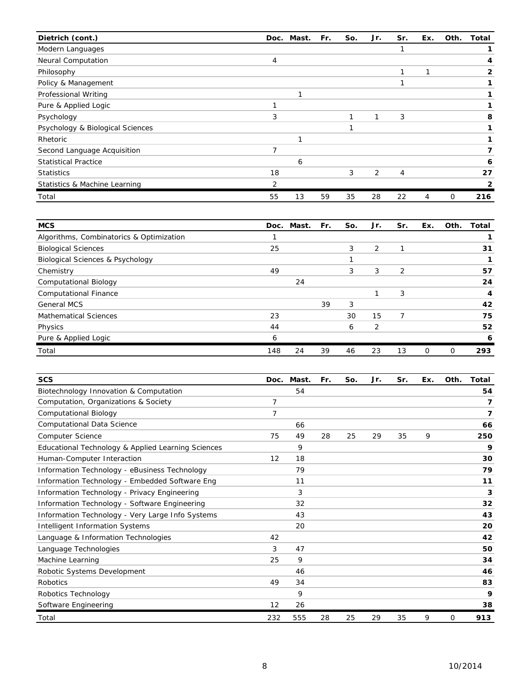| Dietrich (cont.)                 |    | Doc. Mast. | Fr. | So. | Jr. | Sr. | Ex. | Oth. | Total |
|----------------------------------|----|------------|-----|-----|-----|-----|-----|------|-------|
| Modern Languages                 |    |            |     |     |     |     |     |      |       |
| Neural Computation               | 4  |            |     |     |     |     |     |      |       |
| Philosophy                       |    |            |     |     |     |     |     |      | 2     |
| Policy & Management              |    |            |     |     |     |     |     |      |       |
| Professional Writing             |    |            |     |     |     |     |     |      |       |
| Pure & Applied Logic             |    |            |     |     |     |     |     |      |       |
| Psychology                       | 3  |            |     |     | 1   | 3   |     |      | 8     |
| Psychology & Biological Sciences |    |            |     |     |     |     |     |      |       |
| Rhetoric                         |    |            |     |     |     |     |     |      |       |
| Second Language Acquisition      | 7  |            |     |     |     |     |     |      |       |
| <b>Statistical Practice</b>      |    | 6          |     |     |     |     |     |      | 6     |
| <b>Statistics</b>                | 18 |            |     | 3   | 2   | 4   |     |      | 27    |
| Statistics & Machine Learning    | 2  |            |     |     |     |     |     |      | 2     |
| Total                            | 55 | 13         | 59  | 35  | 28  | 22  | 4   | 0    | 216   |

| <b>MCS</b>                                  |     | Doc. Mast. | Fr. | So. | Jr. | Sr. | Ex.            | Oth. | Total |
|---------------------------------------------|-----|------------|-----|-----|-----|-----|----------------|------|-------|
| Algorithms, Combinatorics & Optimization    |     |            |     |     |     |     |                |      |       |
| <b>Biological Sciences</b>                  | 25  |            |     | 3   | 2   |     |                |      | 31    |
| <b>Biological Sciences &amp; Psychology</b> |     |            |     |     |     |     |                |      |       |
| Chemistry                                   | 49  |            |     | 3   | 3   | 2   |                |      | 57    |
| <b>Computational Biology</b>                |     | 24         |     |     |     |     |                |      | 24    |
| <b>Computational Finance</b>                |     |            |     |     | ⊣   | 3   |                |      | 4     |
| <b>General MCS</b>                          |     |            | 39  | 3   |     |     |                |      | 42    |
| <b>Mathematical Sciences</b>                | 23  |            |     | 30  | 15  | 7   |                |      | 75    |
| Physics                                     | 44  |            |     | 6   | 2   |     |                |      | 52    |
| Pure & Applied Logic                        | 6   |            |     |     |     |     |                |      | 6     |
| Total                                       | 148 | 24         | 39  | 46  | 23  | 13  | $\overline{O}$ | 0    | 293   |

| <b>SCS</b>                                         | Doc. | Mast. | Fr. | So. | Jr. | Sr. | Ex. | Oth. | Total |
|----------------------------------------------------|------|-------|-----|-----|-----|-----|-----|------|-------|
| Biotechnology Innovation & Computation             |      | 54    |     |     |     |     |     |      | 54    |
| Computation, Organizations & Society               | 7    |       |     |     |     |     |     |      | 7     |
| Computational Biology                              | 7    |       |     |     |     |     |     |      | 7     |
| Computational Data Science                         |      | 66    |     |     |     |     |     |      | 66    |
| <b>Computer Science</b>                            | 75   | 49    | 28  | 25  | 29  | 35  | 9   |      | 250   |
| Educational Technology & Applied Learning Sciences |      | 9     |     |     |     |     |     |      | 9     |
| Human-Computer Interaction                         | 12   | 18    |     |     |     |     |     |      | 30    |
| Information Technology - eBusiness Technology      |      | 79    |     |     |     |     |     |      | 79    |
| Information Technology - Embedded Software Eng     |      | 11    |     |     |     |     |     |      | 11    |
| Information Technology - Privacy Engineering       |      | 3     |     |     |     |     |     |      | 3     |
| Information Technology - Software Engineering      |      | 32    |     |     |     |     |     |      | 32    |
| Information Technology - Very Large Info Systems   |      | 43    |     |     |     |     |     |      | 43    |
| <b>Intelligent Information Systems</b>             |      | 20    |     |     |     |     |     |      | 20    |
| Language & Information Technologies                | 42   |       |     |     |     |     |     |      | 42    |
| Language Technologies                              | 3    | 47    |     |     |     |     |     |      | 50    |
| Machine Learning                                   | 25   | 9     |     |     |     |     |     |      | 34    |
| Robotic Systems Development                        |      | 46    |     |     |     |     |     |      | 46    |
| Robotics                                           | 49   | 34    |     |     |     |     |     |      | 83    |
| Robotics Technology                                |      | 9     |     |     |     |     |     |      | 9     |
| Software Engineering                               | 12   | 26    |     |     |     |     |     |      | 38    |
| Total                                              | 232  | 555   | 28  | 25  | 29  | 35  | 9   | 0    | 913   |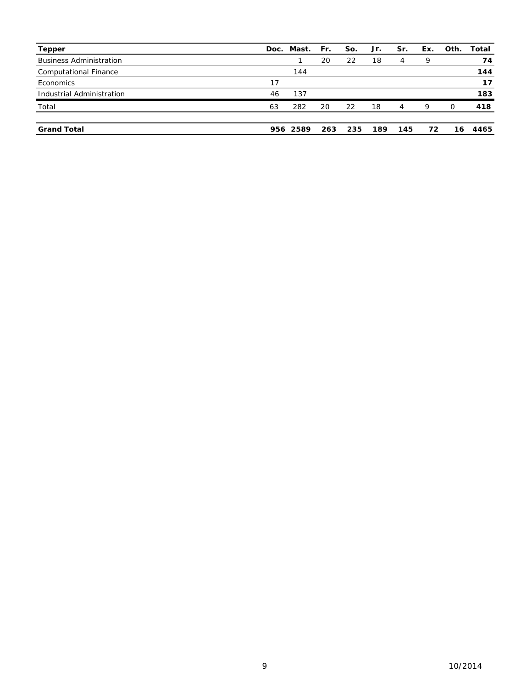| <b>Tepper</b>                  |    | Doc. Mast. Fr. |     | So. | Jr. | Sr. | Ex. | Oth.     | Total |
|--------------------------------|----|----------------|-----|-----|-----|-----|-----|----------|-------|
| <b>Business Administration</b> |    |                | 20  | 22  | 18  | 4   | 9   |          | 74    |
| <b>Computational Finance</b>   |    | 144            |     |     |     |     |     |          | 144   |
| Economics                      | 17 |                |     |     |     |     |     |          | 17    |
| Industrial Administration      | 46 | 137            |     |     |     |     |     |          | 183   |
| Total                          | 63 | 282            | 20  | 22  | 18  | 4   | 9   | $\Omega$ | 418   |
| <b>Grand Total</b>             |    | 956 2589       | 263 | 235 | 189 | 145 | 72  | 16.      | 4465  |